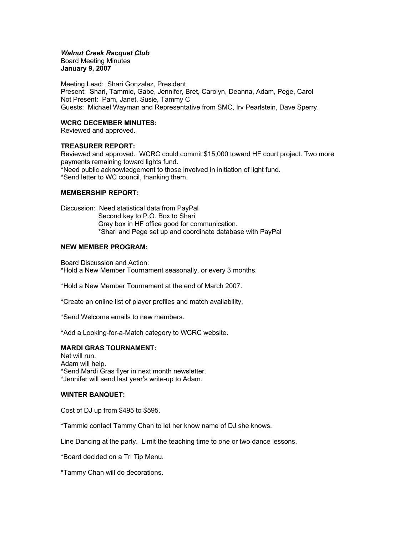# *Walnut Creek Racquet Club*

Board Meeting Minutes **January 9, 2007**

Meeting Lead: Shari Gonzalez, President Present: Shari, Tammie, Gabe, Jennifer, Bret, Carolyn, Deanna, Adam, Pege, Carol Not Present: Pam, Janet, Susie, Tammy C Guests: Michael Wayman and Representative from SMC, Irv Pearlstein, Dave Sperry.

## **WCRC DECEMBER MINUTES:**

Reviewed and approved.

# **TREASURER REPORT:**

Reviewed and approved. WCRC could commit \$15,000 toward HF court project. Two more payments remaining toward lights fund. \*Need public acknowledgement to those involved in initiation of light fund. \*Send letter to WC council, thanking them.

# **MEMBERSHIP REPORT:**

Discussion: Need statistical data from PayPal Second key to P.O. Box to Shari Gray box in HF office good for communication. \*Shari and Pege set up and coordinate database with PayPal

# **NEW MEMBER PROGRAM:**

Board Discussion and Action: \*Hold a New Member Tournament seasonally, or every 3 months.

\*Hold a New Member Tournament at the end of March 2007.

\*Create an online list of player profiles and match availability.

\*Send Welcome emails to new members.

\*Add a Looking-for-a-Match category to WCRC website.

## **MARDI GRAS TOURNAMENT:**

Nat will run. Adam will help. \*Send Mardi Gras flyer in next month newsletter. \*Jennifer will send last year's write-up to Adam.

# **WINTER BANQUET:**

Cost of DJ up from \$495 to \$595.

\*Tammie contact Tammy Chan to let her know name of DJ she knows.

Line Dancing at the party. Limit the teaching time to one or two dance lessons.

\*Board decided on a Tri Tip Menu.

\*Tammy Chan will do decorations.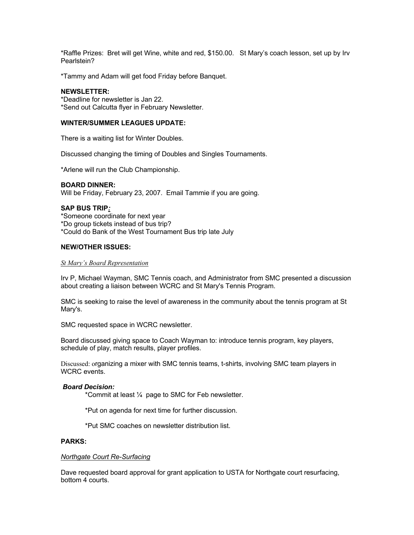\*Raffle Prizes: Bret will get Wine, white and red, \$150.00. St Mary's coach lesson, set up by Irv Pearlstein?

\*Tammy and Adam will get food Friday before Banquet.

### **NEWSLETTER:**

\*Deadline for newsletter is Jan 22. \*Send out Calcutta flyer in February Newsletter.

## **WINTER/SUMMER LEAGUES UPDATE:**

There is a waiting list for Winter Doubles.

Discussed changing the timing of Doubles and Singles Tournaments.

\*Arlene will run the Club Championship.

### **BOARD DINNER:**

Will be Friday, February 23, 2007. Email Tammie if you are going.

### **SAP BUS TRIP***:*

\*Someone coordinate for next year \*Do group tickets instead of bus trip? \*Could do Bank of the West Tournament Bus trip late July

### **NEW/OTHER ISSUES:**

#### *St Mary's Board Representation*

Irv P, Michael Wayman, SMC Tennis coach, and Administrator from SMC presented a discussion about creating a liaison between WCRC and St Mary's Tennis Program.

SMC is seeking to raise the level of awareness in the community about the tennis program at St Mary's.

SMC requested space in WCRC newsletter.

Board discussed giving space to Coach Wayman to: introduce tennis program, key players, schedule of play, match results, player profiles.

Discussed: organizing a mixer with SMC tennis teams, t-shirts, involving SMC team players in WCRC events.

#### *Board Decision:*

\*Commit at least ¼ page to SMC for Feb newsletter.

\*Put on agenda for next time for further discussion.

\*Put SMC coaches on newsletter distribution list.

#### **PARKS:**

#### *Northgate Court Re-Surfacing*

Dave requested board approval for grant application to USTA for Northgate court resurfacing, bottom 4 courts.